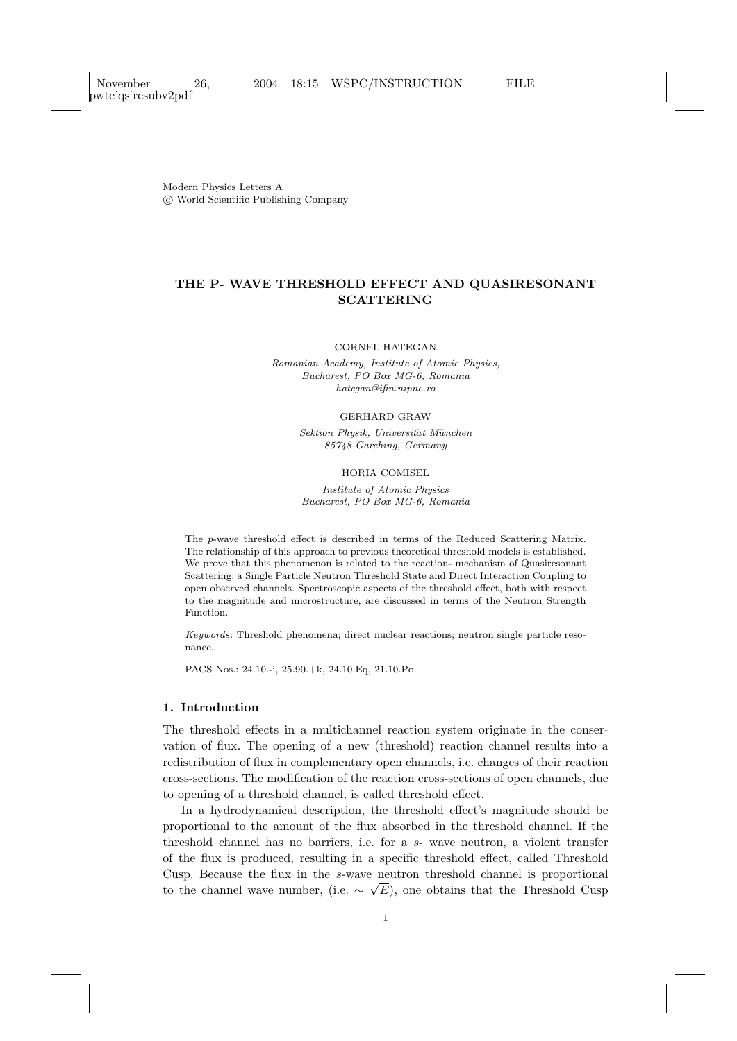Modern Physics Letters A c World Scientific Publishing Company

# THE P- WAVE THRESHOLD EFFECT AND QUASIRESONANT SCATTERING

CORNEL HATEGAN

Romanian Academy, Institute of Atomic Physics, Bucharest, PO Box MG-6, Romania hategan@ifin.nipne.ro

### GERHARD GRAW

Sektion Physik, Universität München 85748 Garching, Germany

#### HORIA COMISEL

Institute of Atomic Physics Bucharest, PO Box MG-6, Romania

The p-wave threshold effect is described in terms of the Reduced Scattering Matrix. The relationship of this approach to previous theoretical threshold models is established. We prove that this phenomenon is related to the reaction- mechanism of Quasiresonant Scattering: a Single Particle Neutron Threshold State and Direct Interaction Coupling to open observed channels. Spectroscopic aspects of the threshold effect, both with respect to the magnitude and microstructure, are discussed in terms of the Neutron Strength Function.

Keywords: Threshold phenomena; direct nuclear reactions; neutron single particle resonance.

PACS Nos.: 24.10.-i, 25.90.+k, 24.10.Eq, 21.10.Pc

# 1. Introduction

The threshold effects in a multichannel reaction system originate in the conservation of flux. The opening of a new (threshold) reaction channel results into a redistribution of flux in complementary open channels, i.e. changes of their reaction cross-sections. The modification of the reaction cross-sections of open channels, due to opening of a threshold channel, is called threshold effect.

In a hydrodynamical description, the threshold effect's magnitude should be proportional to the amount of the flux absorbed in the threshold channel. If the threshold channel has no barriers, i.e. for a s- wave neutron, a violent transfer of the flux is produced, resulting in a specific threshold effect, called Threshold Cusp. Because the flux in the s-wave neutron threshold channel is proportional to the channel wave number, (i.e.  $\sim \sqrt{E}$ ), one obtains that the Threshold Cusp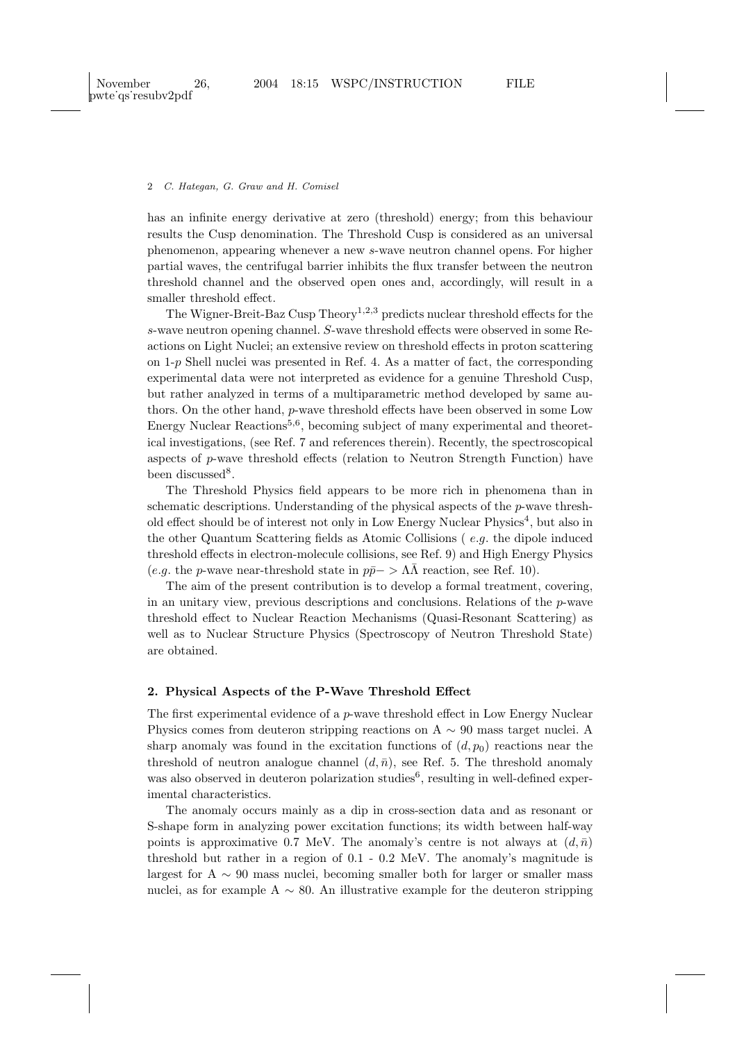has an infinite energy derivative at zero (threshold) energy; from this behaviour results the Cusp denomination. The Threshold Cusp is considered as an universal phenomenon, appearing whenever a new s-wave neutron channel opens. For higher partial waves, the centrifugal barrier inhibits the flux transfer between the neutron threshold channel and the observed open ones and, accordingly, will result in a smaller threshold effect.

The Wigner-Breit-Baz Cusp Theory<sup>1,2,3</sup> predicts nuclear threshold effects for the s-wave neutron opening channel. S-wave threshold effects were observed in some Reactions on Light Nuclei; an extensive review on threshold effects in proton scattering on 1-p Shell nuclei was presented in Ref. 4. As a matter of fact, the corresponding experimental data were not interpreted as evidence for a genuine Threshold Cusp, but rather analyzed in terms of a multiparametric method developed by same authors. On the other hand, p-wave threshold effects have been observed in some Low Energy Nuclear Reactions<sup>5,6</sup>, becoming subject of many experimental and theoretical investigations, (see Ref. 7 and references therein). Recently, the spectroscopical aspects of p-wave threshold effects (relation to Neutron Strength Function) have been discussed<sup>8</sup>.

The Threshold Physics field appears to be more rich in phenomena than in schematic descriptions. Understanding of the physical aspects of the p-wave threshold effect should be of interest not only in Low Energy Nuclear Physics<sup>4</sup>, but also in the other Quantum Scattering fields as Atomic Collisions ( e.g. the dipole induced threshold effects in electron-molecule collisions, see Ref. 9) and High Energy Physics (e.g. the p-wave near-threshold state in  $p\bar{p}$ − >  $\Lambda\bar{\Lambda}$  reaction, see Ref. 10).

The aim of the present contribution is to develop a formal treatment, covering, in an unitary view, previous descriptions and conclusions. Relations of the  $p$ -wave threshold effect to Nuclear Reaction Mechanisms (Quasi-Resonant Scattering) as well as to Nuclear Structure Physics (Spectroscopy of Neutron Threshold State) are obtained.

### 2. Physical Aspects of the P-Wave Threshold Effect

The first experimental evidence of a p-wave threshold effect in Low Energy Nuclear Physics comes from deuteron stripping reactions on A  $\sim$  90 mass target nuclei. A sharp anomaly was found in the excitation functions of  $(d, p_0)$  reactions near the threshold of neutron analogue channel  $(d, \bar{n})$ , see Ref. 5. The threshold anomaly was also observed in deuteron polarization studies<sup>6</sup>, resulting in well-defined experimental characteristics.

The anomaly occurs mainly as a dip in cross-section data and as resonant or S-shape form in analyzing power excitation functions; its width between half-way points is approximative 0.7 MeV. The anomaly's centre is not always at  $(d,\bar{n})$ threshold but rather in a region of 0.1 - 0.2 MeV. The anomaly's magnitude is largest for A  $\sim$  90 mass nuclei, becoming smaller both for larger or smaller mass nuclei, as for example A  $\sim$  80. An illustrative example for the deuteron stripping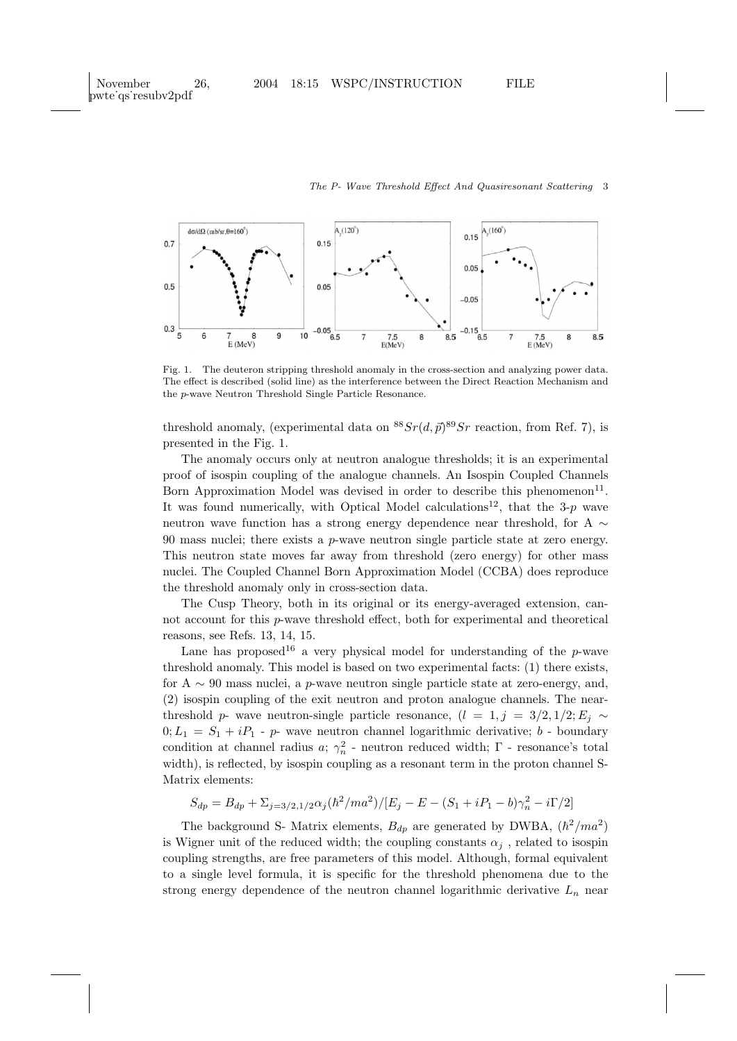

Fig. 1. The deuteron stripping threshold anomaly in the cross-section and analyzing power data. The effect is described (solid line) as the interference between the Direct Reaction Mechanism and the p-wave Neutron Threshold Single Particle Resonance.

threshold anomaly, (experimental data on  ${}^{88}Sr(d, \vec{p}){}^{89}Sr$  reaction, from Ref. 7), is presented in the Fig. 1.

The anomaly occurs only at neutron analogue thresholds; it is an experimental proof of isospin coupling of the analogue channels. An Isospin Coupled Channels Born Approximation Model was devised in order to describe this phenomenon<sup>11</sup>. It was found numerically, with Optical Model calculations<sup>12</sup>, that the 3-p wave neutron wave function has a strong energy dependence near threshold, for A ∼ 90 mass nuclei; there exists a  $p$ -wave neutron single particle state at zero energy. This neutron state moves far away from threshold (zero energy) for other mass nuclei. The Coupled Channel Born Approximation Model (CCBA) does reproduce the threshold anomaly only in cross-section data.

The Cusp Theory, both in its original or its energy-averaged extension, cannot account for this p-wave threshold effect, both for experimental and theoretical reasons, see Refs. 13, 14, 15.

Lane has proposed<sup>16</sup> a very physical model for understanding of the  $p$ -wave threshold anomaly. This model is based on two experimental facts: (1) there exists, for A  $\sim$  90 mass nuclei, a p-wave neutron single particle state at zero-energy, and, (2) isospin coupling of the exit neutron and proton analogue channels. The nearthreshold p- wave neutron-single particle resonance,  $(l = 1, j = 3/2, 1/2; E_i \sim$  $0; L_1 = S_1 + iP_1$  - p- wave neutron channel logarithmic derivative; b - boundary condition at channel radius  $a; \gamma_n^2$  - neutron reduced width;  $\Gamma$  - resonance's total width), is reflected, by isospin coupling as a resonant term in the proton channel S-Matrix elements:

$$
S_{dp} = B_{dp} + \sum_{j=3/2,1/2} \alpha_j (\hbar^2 / m a^2) / [E_j - E - (S_1 + i P_1 - b)\gamma_n^2 - i\Gamma/2]
$$

The background S- Matrix elements,  $B_{dp}$  are generated by DWBA,  $(\hbar^2/ma^2)$ is Wigner unit of the reduced width; the coupling constants  $\alpha_i$ , related to isospin coupling strengths, are free parameters of this model. Although, formal equivalent to a single level formula, it is specific for the threshold phenomena due to the strong energy dependence of the neutron channel logarithmic derivative  $L_n$  near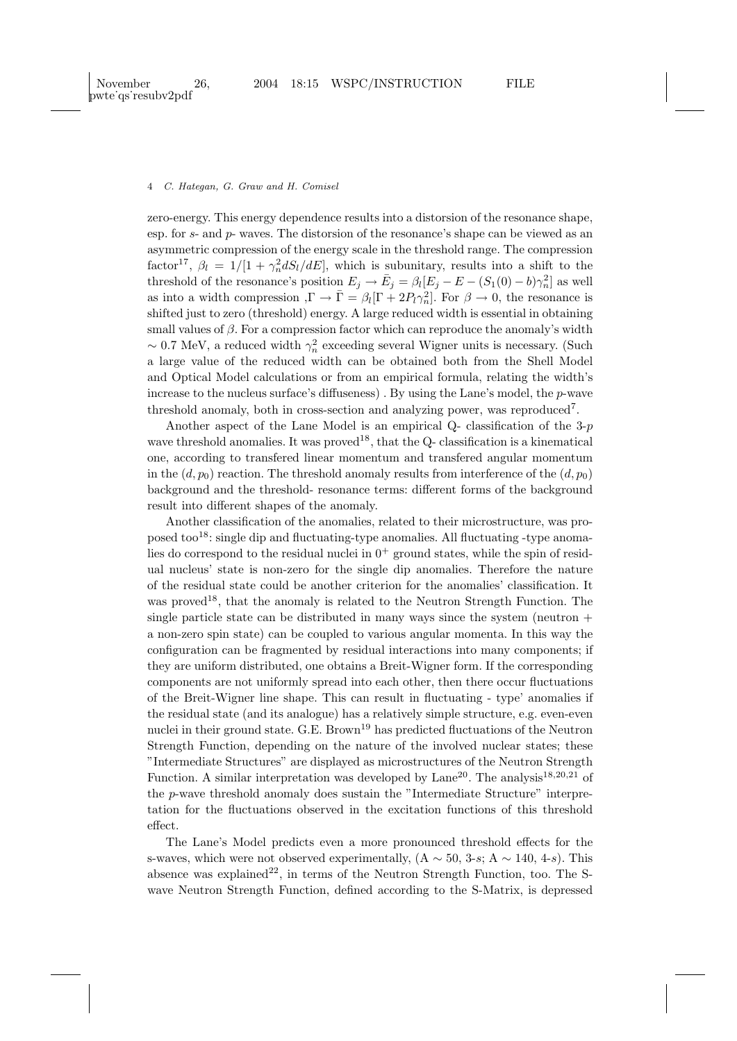zero-energy. This energy dependence results into a distorsion of the resonance shape, esp. for s- and p- waves. The distorsion of the resonance's shape can be viewed as an asymmetric compression of the energy scale in the threshold range. The compression factor<sup>17</sup>,  $\beta_l = 1/[1 + \gamma_n^2 dS_l/dE]$ , which is subunitary, results into a shift to the threshold of the resonance's position  $E_j \to \bar{E}_j = \beta_l [E_j - E - (S_1(0) - b)\gamma_n^2]$  as well as into a width compression  $,\Gamma \to \bar{\Gamma} = \beta_l [\Gamma + 2P_l \gamma_n^2]$ . For  $\beta \to 0$ , the resonance is shifted just to zero (threshold) energy. A large reduced width is essential in obtaining small values of  $\beta$ . For a compression factor which can reproduce the anomaly's width  $\sim$  0.7 MeV, a reduced width  $\gamma_n^2$  exceeding several Wigner units is necessary. (Such a large value of the reduced width can be obtained both from the Shell Model and Optical Model calculations or from an empirical formula, relating the width's increase to the nucleus surface's diffuseness). By using the Lane's model, the  $p$ -wave threshold anomaly, both in cross-section and analyzing power, was reproduced<sup>7</sup>.

Another aspect of the Lane Model is an empirical  $Q$ - classification of the 3-p wave threshold anomalies. It was proved<sup>18</sup>, that the Q- classification is a kinematical one, according to transfered linear momentum and transfered angular momentum in the  $(d, p_0)$  reaction. The threshold anomaly results from interference of the  $(d, p_0)$ background and the threshold- resonance terms: different forms of the background result into different shapes of the anomaly.

Another classification of the anomalies, related to their microstructure, was proposed too<sup>18</sup>: single dip and fluctuating-type anomalies. All fluctuating -type anomalies do correspond to the residual nuclei in  $0^+$  ground states, while the spin of residual nucleus' state is non-zero for the single dip anomalies. Therefore the nature of the residual state could be another criterion for the anomalies' classification. It was proved<sup>18</sup>, that the anomaly is related to the Neutron Strength Function. The single particle state can be distributed in many ways since the system (neutron  $+$ a non-zero spin state) can be coupled to various angular momenta. In this way the configuration can be fragmented by residual interactions into many components; if they are uniform distributed, one obtains a Breit-Wigner form. If the corresponding components are not uniformly spread into each other, then there occur fluctuations of the Breit-Wigner line shape. This can result in fluctuating - type' anomalies if the residual state (and its analogue) has a relatively simple structure, e.g. even-even nuclei in their ground state. G.E. Brown<sup>19</sup> has predicted fluctuations of the Neutron Strength Function, depending on the nature of the involved nuclear states; these "Intermediate Structures" are displayed as microstructures of the Neutron Strength Function. A similar interpretation was developed by Lane<sup>20</sup>. The analysis<sup>18,20,21</sup> of the p-wave threshold anomaly does sustain the "Intermediate Structure" interpretation for the fluctuations observed in the excitation functions of this threshold effect.

The Lane's Model predicts even a more pronounced threshold effects for the s-waves, which were not observed experimentally,  $(A \sim 50, 3\text{-}s; A \sim 140, 4\text{-}s)$ . This absence was explained<sup>22</sup>, in terms of the Neutron Strength Function, too. The Swave Neutron Strength Function, defined according to the S-Matrix, is depressed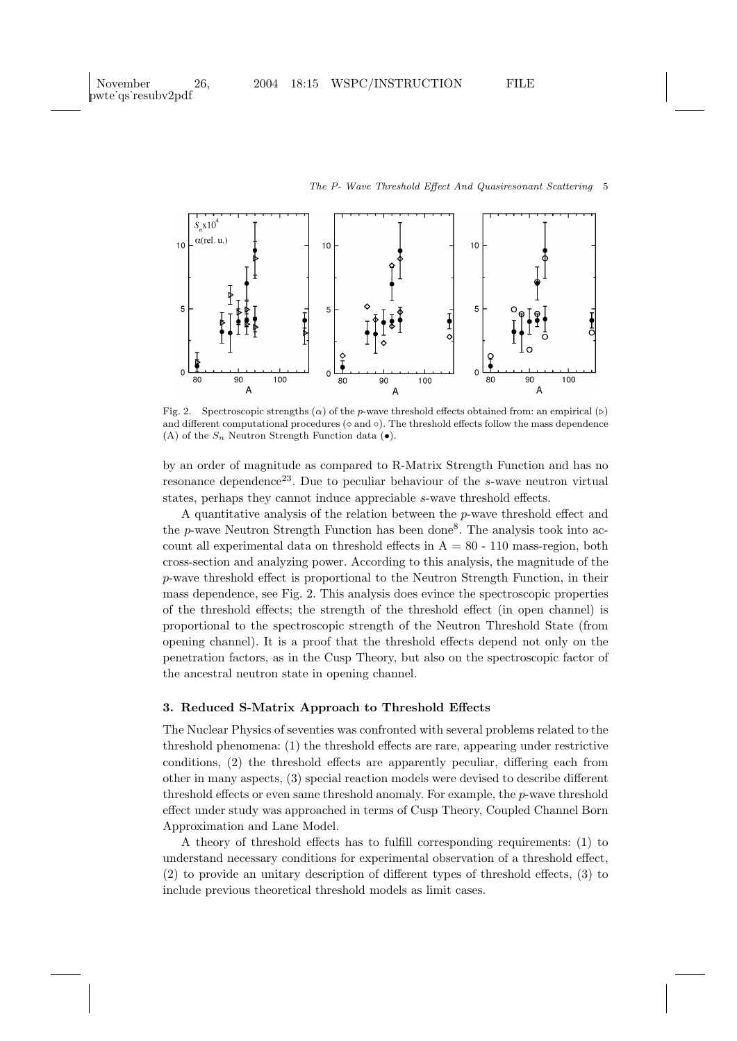

Fig. 2. Spectroscopic strengths  $(\alpha)$  of the p-wave threshold effects obtained from: an empirical  $(\triangleright)$ and different computational procedures  $(\circ$  and  $\circ)$ . The threshold effects follow the mass dependence (A) of the  $S_n$  Neutron Strength Function data ( $\bullet$ ).

by an order of magnitude as compared to R-Matrix Strength Function and has no resonance dependence<sup>23</sup>. Due to peculiar behaviour of the s-wave neutron virtual states, perhaps they cannot induce appreciable s-wave threshold effects.

A quantitative analysis of the relation between the p-wave threshold effect and the  $p$ -wave Neutron Strength Function has been done<sup>8</sup>. The analysis took into account all experimental data on threshold effects in  $A = 80 - 110$  mass-region, both cross-section and analyzing power. According to this analysis, the magnitude of the p-wave threshold effect is proportional to the Neutron Strength Function, in their mass dependence, see Fig. 2. This analysis does evince the spectroscopic properties of the threshold effects; the strength of the threshold effect (in open channel) is proportional to the spectroscopic strength of the Neutron Threshold State (from opening channel). It is a proof that the threshold effects depend not only on the penetration factors, as in the Cusp Theory, but also on the spectroscopic factor of the ancestral neutron state in opening channel.

# 3. Reduced S-Matrix Approach to Threshold Effects

The Nuclear Physics of seventies was confronted with several problems related to the threshold phenomena: (1) the threshold effects are rare, appearing under restrictive conditions, (2) the threshold effects are apparently peculiar, differing each from other in many aspects, (3) special reaction models were devised to describe different threshold effects or even same threshold anomaly. For example, the p-wave threshold effect under study was approached in terms of Cusp Theory, Coupled Channel Born Approximation and Lane Model.

A theory of threshold effects has to fulfill corresponding requirements: (1) to understand necessary conditions for experimental observation of a threshold effect, (2) to provide an unitary description of different types of threshold effects, (3) to include previous theoretical threshold models as limit cases.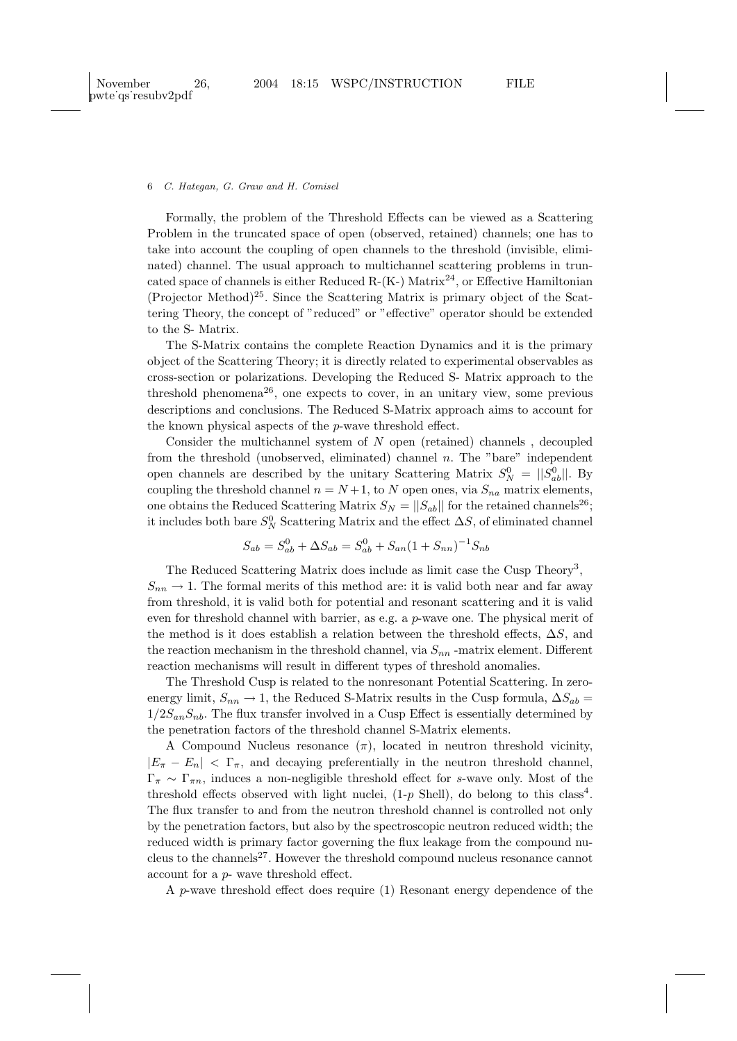Formally, the problem of the Threshold Effects can be viewed as a Scattering Problem in the truncated space of open (observed, retained) channels; one has to take into account the coupling of open channels to the threshold (invisible, eliminated) channel. The usual approach to multichannel scattering problems in truncated space of channels is either Reduced R- $(K-)$  Matrix<sup>24</sup>, or Effective Hamiltonian  $(Projector Method)<sup>25</sup>$ . Since the Scattering Matrix is primary object of the Scattering Theory, the concept of "reduced" or "effective" operator should be extended to the S- Matrix.

The S-Matrix contains the complete Reaction Dynamics and it is the primary object of the Scattering Theory; it is directly related to experimental observables as cross-section or polarizations. Developing the Reduced S- Matrix approach to the threshold phenomena<sup>26</sup>, one expects to cover, in an unitary view, some previous descriptions and conclusions. The Reduced S-Matrix approach aims to account for the known physical aspects of the p-wave threshold effect.

Consider the multichannel system of N open (retained) channels , decoupled from the threshold (unobserved, eliminated) channel n. The "bare" independent open channels are described by the unitary Scattering Matrix  $S_N^0 = ||S_{ab}^0||$ . By coupling the threshold channel  $n = N + 1$ , to N open ones, via  $S_{na}$  matrix elements, one obtains the Reduced Scattering Matrix  $S_N = ||S_{ab}||$  for the retained channels<sup>26</sup>; it includes both bare  $S_N^0$  Scattering Matrix and the effect  $\Delta S$ , of eliminated channel

$$
S_{ab} = S_{ab}^0 + \Delta S_{ab} = S_{ab}^0 + S_{an}(1 + S_{nn})^{-1}S_{nb}
$$

The Reduced Scattering Matrix does include as limit case the Cusp Theory<sup>3</sup>,  $S_{nn} \rightarrow 1$ . The formal merits of this method are: it is valid both near and far away from threshold, it is valid both for potential and resonant scattering and it is valid even for threshold channel with barrier, as e.g. a  $p$ -wave one. The physical merit of the method is it does establish a relation between the threshold effects,  $\Delta S$ , and the reaction mechanism in the threshold channel, via  $S_{nn}$ -matrix element. Different reaction mechanisms will result in different types of threshold anomalies.

The Threshold Cusp is related to the nonresonant Potential Scattering. In zeroenergy limit,  $S_{nn} \rightarrow 1$ , the Reduced S-Matrix results in the Cusp formula,  $\Delta S_{ab}$  =  $1/2S_{an}S_{nb}$ . The flux transfer involved in a Cusp Effect is essentially determined by the penetration factors of the threshold channel S-Matrix elements.

A Compound Nucleus resonance  $(\pi)$ , located in neutron threshold vicinity,  $|E_\pi - E_n| < \Gamma_\pi$ , and decaying preferentially in the neutron threshold channel,  $\Gamma_{\pi} \sim \Gamma_{\pi n}$ , induces a non-negligible threshold effect for s-wave only. Most of the threshold effects observed with light nuclei,  $(1-p \text{ Shell})$ , do belong to this class<sup>4</sup>. The flux transfer to and from the neutron threshold channel is controlled not only by the penetration factors, but also by the spectroscopic neutron reduced width; the reduced width is primary factor governing the flux leakage from the compound nucleus to the channels<sup>27</sup>. However the threshold compound nucleus resonance cannot account for a p- wave threshold effect.

A p-wave threshold effect does require (1) Resonant energy dependence of the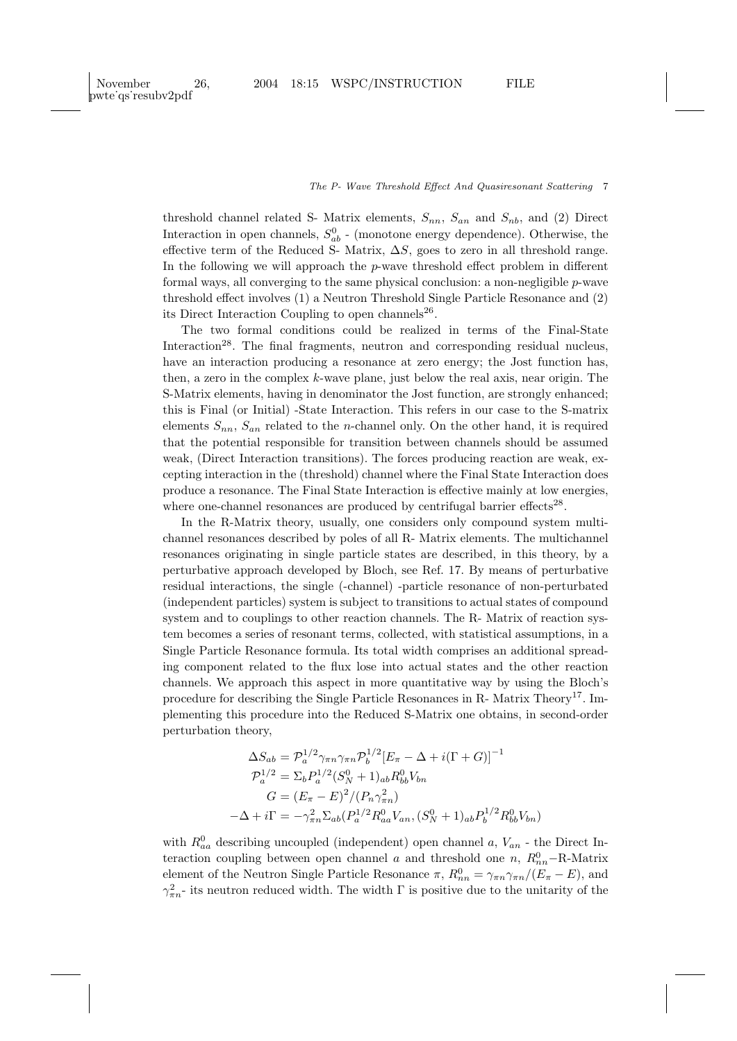threshold channel related S- Matrix elements,  $S_{nn}$ ,  $S_{an}$  and  $S_{nb}$ , and (2) Direct Interaction in open channels,  $S_{ab}^0$  - (monotone energy dependence). Otherwise, the effective term of the Reduced S- Matrix,  $\Delta S$ , goes to zero in all threshold range. In the following we will approach the  $p$ -wave threshold effect problem in different formal ways, all converging to the same physical conclusion: a non-negligible  $p$ -wave threshold effect involves (1) a Neutron Threshold Single Particle Resonance and (2) its Direct Interaction Coupling to open channels<sup>26</sup>.

The two formal conditions could be realized in terms of the Final-State Interaction<sup>28</sup>. The final fragments, neutron and corresponding residual nucleus, have an interaction producing a resonance at zero energy; the Jost function has, then, a zero in the complex  $k$ -wave plane, just below the real axis, near origin. The S-Matrix elements, having in denominator the Jost function, are strongly enhanced; this is Final (or Initial) -State Interaction. This refers in our case to the S-matrix elements  $S_{nn}$ ,  $S_{an}$  related to the *n*-channel only. On the other hand, it is required that the potential responsible for transition between channels should be assumed weak, (Direct Interaction transitions). The forces producing reaction are weak, excepting interaction in the (threshold) channel where the Final State Interaction does produce a resonance. The Final State Interaction is effective mainly at low energies, where one-channel resonances are produced by centrifugal barrier effects<sup>28</sup>.

In the R-Matrix theory, usually, one considers only compound system multichannel resonances described by poles of all R- Matrix elements. The multichannel resonances originating in single particle states are described, in this theory, by a perturbative approach developed by Bloch, see Ref. 17. By means of perturbative residual interactions, the single (-channel) -particle resonance of non-perturbated (independent particles) system is subject to transitions to actual states of compound system and to couplings to other reaction channels. The R- Matrix of reaction system becomes a series of resonant terms, collected, with statistical assumptions, in a Single Particle Resonance formula. Its total width comprises an additional spreading component related to the flux lose into actual states and the other reaction channels. We approach this aspect in more quantitative way by using the Bloch's procedure for describing the Single Particle Resonances in R- Matrix Theory<sup>17</sup>. Implementing this procedure into the Reduced S-Matrix one obtains, in second-order perturbation theory,

$$
\Delta S_{ab} = \mathcal{P}_a^{1/2} \gamma_{\pi n} \gamma_{\pi n} \mathcal{P}_b^{1/2} [E_{\pi} - \Delta + i(\Gamma + G)]^{-1}
$$
  
\n
$$
\mathcal{P}_a^{1/2} = \Sigma_b P_a^{1/2} (S_N^0 + 1)_{ab} R_{bb}^0 V_{bn}
$$
  
\n
$$
G = (E_{\pi} - E)^2 / (P_n \gamma_{\pi n}^2)
$$
  
\n
$$
-\Delta + i\Gamma = -\gamma_{\pi n}^2 \Sigma_{ab} (P_a^{1/2} R_{aa}^0 V_{an}, (S_N^0 + 1)_{ab} P_b^{1/2} R_{bb}^0 V_{bn})
$$

with  $R_{aa}^0$  describing uncoupled (independent) open channel a,  $V_{an}$  - the Direct Interaction coupling between open channel a and threshold one  $n, R_{nn}^0$ -R-Matrix element of the Neutron Single Particle Resonance  $\pi$ ,  $R_{nn}^0 = \gamma_{\pi n} \gamma_{\pi n}/(E_{\pi} - E)$ , and  $\gamma_{\pi n}^2$  its neutron reduced width. The width  $\Gamma$  is positive due to the unitarity of the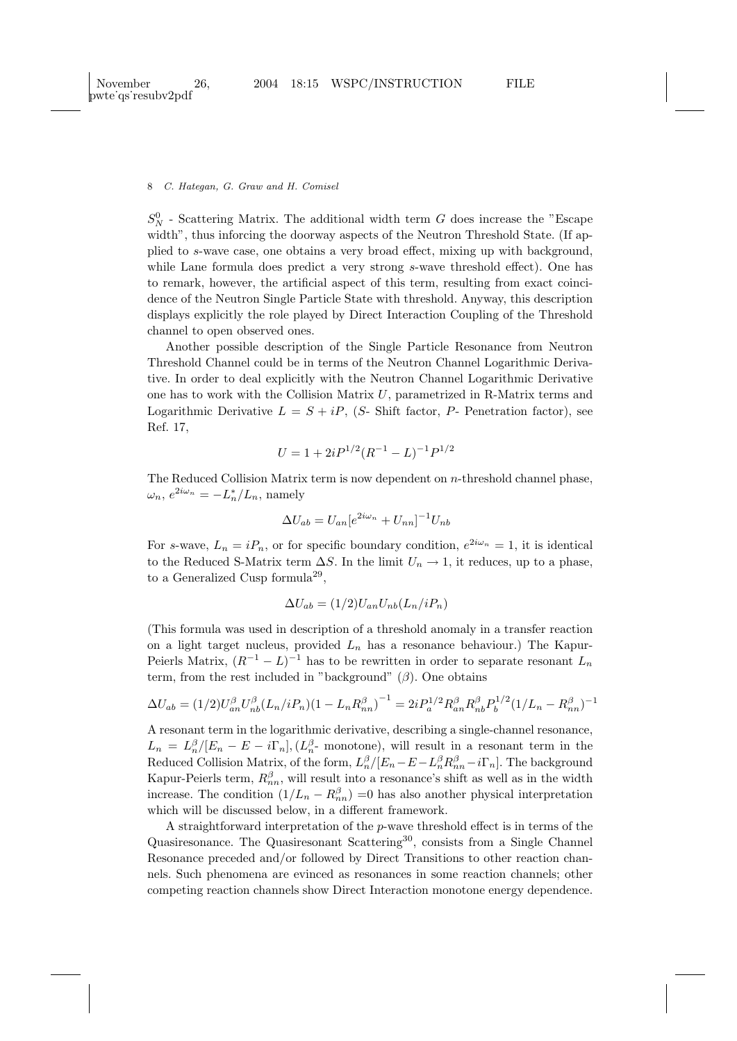$S_N^0$  - Scattering Matrix. The additional width term G does increase the "Escape width", thus inforcing the doorway aspects of the Neutron Threshold State. (If applied to s-wave case, one obtains a very broad effect, mixing up with background, while Lane formula does predict a very strong s-wave threshold effect). One has to remark, however, the artificial aspect of this term, resulting from exact coincidence of the Neutron Single Particle State with threshold. Anyway, this description displays explicitly the role played by Direct Interaction Coupling of the Threshold channel to open observed ones.

Another possible description of the Single Particle Resonance from Neutron Threshold Channel could be in terms of the Neutron Channel Logarithmic Derivative. In order to deal explicitly with the Neutron Channel Logarithmic Derivative one has to work with the Collision Matrix  $U$ , parametrized in R-Matrix terms and Logarithmic Derivative  $L = S + iP$ , (S- Shift factor, P- Penetration factor), see Ref. 17,

$$
U = 1 + 2iP^{1/2}(R^{-1} - L)^{-1}P^{1/2}
$$

The Reduced Collision Matrix term is now dependent on  $n$ -threshold channel phase,  $\omega_n, e^{2i\omega_n} = -L_n^*/L_n$ , namely

$$
\Delta U_{ab} = U_{an}[e^{2i\omega_n} + U_{nn}]^{-1}U_{nb}
$$

For s-wave,  $L_n = iP_n$ , or for specific boundary condition,  $e^{2i\omega_n} = 1$ , it is identical to the Reduced S-Matrix term  $\Delta S$ . In the limit  $U_n \to 1$ , it reduces, up to a phase, to a Generalized Cusp formula<sup>29</sup>,

$$
\Delta U_{ab} = (1/2)U_{an}U_{nb}(L_n/iP_n)
$$

(This formula was used in description of a threshold anomaly in a transfer reaction on a light target nucleus, provided  $L_n$  has a resonance behaviour.) The Kapur-Peierls Matrix,  $(R^{-1} - L)^{-1}$  has to be rewritten in order to separate resonant  $L_n$ term, from the rest included in "background"  $(\beta)$ . One obtains

$$
\Delta U_{ab} = (1/2)U_{an}^{\beta}U_{nb}^{\beta}(L_n/iP_n)(1 - L_nR_{nn}^{\beta})^{-1} = 2iP_a^{1/2}R_{an}^{\beta}R_{nb}^{\beta}P_b^{1/2}(1/L_n - R_{nn}^{\beta})^{-1}
$$

A resonant term in the logarithmic derivative, describing a single-channel resonance,  $L_n = L_n^{\beta} / [E_n - E - i\Gamma_n], (L_n^{\beta}$ - monotone), will result in a resonant term in the Reduced Collision Matrix, of the form,  $L_n^{\beta}/[E_n - E - L_n^{\beta}R_{nn}^{\beta} - i\Gamma_n]$ . The background Kapur-Peierls term,  $R_{nn}^{\beta}$ , will result into a resonance's shift as well as in the width increase. The condition  $(1/L_n - R_{nn}^{\beta}) = 0$  has also another physical interpretation which will be discussed below, in a different framework.

A straightforward interpretation of the p-wave threshold effect is in terms of the Quasiresonance. The Quasiresonant Scattering<sup>30</sup>, consists from a Single Channel Resonance preceded and/or followed by Direct Transitions to other reaction channels. Such phenomena are evinced as resonances in some reaction channels; other competing reaction channels show Direct Interaction monotone energy dependence.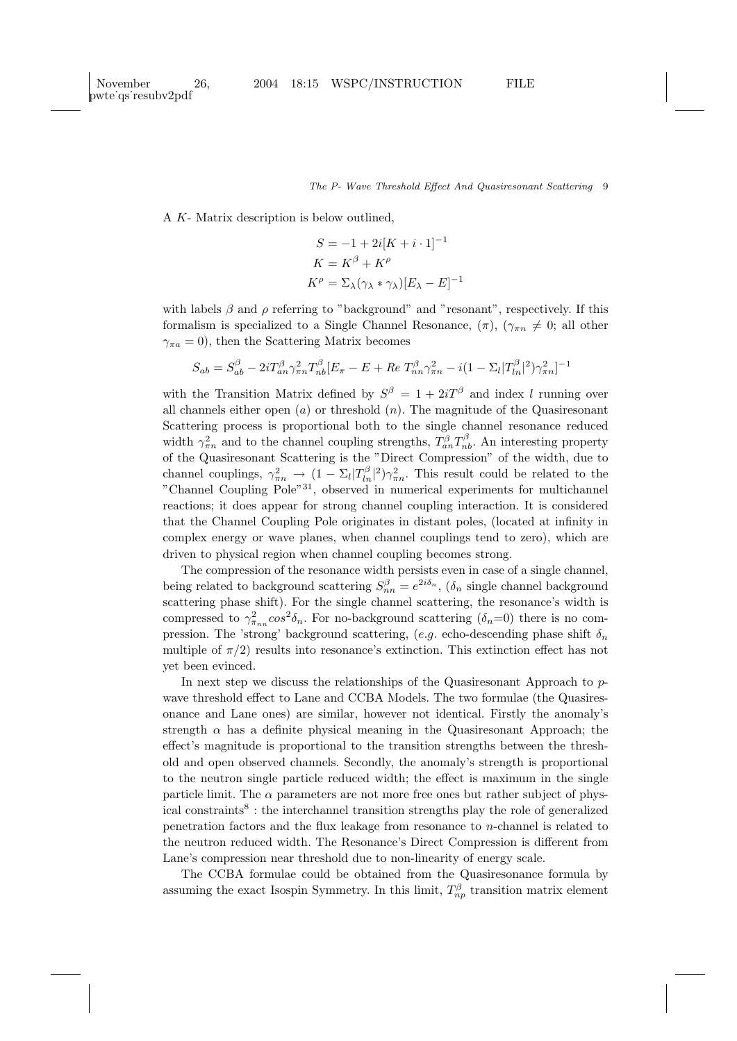A K- Matrix description is below outlined,

$$
S = -1 + 2i[K + i \cdot 1]^{-1}
$$

$$
K = K^{\beta} + K^{\rho}
$$

$$
K^{\rho} = \Sigma_{\lambda} (\gamma_{\lambda} * \gamma_{\lambda}) [E_{\lambda} - E]^{-1}
$$

with labels  $\beta$  and  $\rho$  referring to "background" and "resonant", respectively. If this formalism is specialized to a Single Channel Resonance,  $(\pi)$ ,  $(\gamma_{\pi n} \neq 0;$  all other  $\gamma_{\pi a} = 0$ , then the Scattering Matrix becomes

$$
S_{ab} = S_{ab}^{\beta} - 2i T_{an}^{\beta} \gamma_{\pi n}^{2} T_{nb}^{\beta} [E_{\pi} - E + Re T_{nn}^{\beta} \gamma_{\pi n}^{2} - i (1 - \Sigma_{l} |T_{ln}^{\beta}|^{2}) \gamma_{\pi n}^{2}]^{-1}
$$

with the Transition Matrix defined by  $S^{\beta} = 1 + 2iT^{\beta}$  and index l running over all channels either open  $(a)$  or threshold  $(n)$ . The magnitude of the Quasiresonant Scattering process is proportional both to the single channel resonance reduced width  $\gamma_{\pi n}^2$  and to the channel coupling strengths,  $T_{an}^{\beta}T_{nb}^{\beta}$ . An interesting property of the Quasiresonant Scattering is the "Direct Compression" of the width, due to channel couplings,  $\gamma_{\pi n}^2 \to (1 - \Sigma_l |T_{ln}^{\beta}|^2)\gamma_{\pi n}^2$ . This result could be related to the "Channel Coupling Pole"<sup>31</sup>, observed in numerical experiments for multichannel reactions; it does appear for strong channel coupling interaction. It is considered that the Channel Coupling Pole originates in distant poles, (located at infinity in complex energy or wave planes, when channel couplings tend to zero), which are driven to physical region when channel coupling becomes strong.

The compression of the resonance width persists even in case of a single channel, being related to background scattering  $S_{nn}^{\beta} = e^{2i\delta_n}$ ,  $(\delta_n$  single channel background scattering phase shift). For the single channel scattering, the resonance's width is compressed to  $\gamma_{\pi_{nn}}^2 \cos^2 \delta_n$ . For no-background scattering  $(\delta_n=0)$  there is no compression. The 'strong' background scattering, (e.g. echo-descending phase shift  $\delta_n$ multiple of  $\pi/2$ ) results into resonance's extinction. This extinction effect has not yet been evinced.

In next step we discuss the relationships of the Quasiresonant Approach to pwave threshold effect to Lane and CCBA Models. The two formulae (the Quasiresonance and Lane ones) are similar, however not identical. Firstly the anomaly's strength  $\alpha$  has a definite physical meaning in the Quasiresonant Approach; the effect's magnitude is proportional to the transition strengths between the threshold and open observed channels. Secondly, the anomaly's strength is proportional to the neutron single particle reduced width; the effect is maximum in the single particle limit. The  $\alpha$  parameters are not more free ones but rather subject of physical constraints<sup>8</sup>: the interchannel transition strengths play the role of generalized penetration factors and the flux leakage from resonance to n-channel is related to the neutron reduced width. The Resonance's Direct Compression is different from Lane's compression near threshold due to non-linearity of energy scale.

The CCBA formulae could be obtained from the Quasiresonance formula by assuming the exact Isospin Symmetry. In this limit,  $T_{np}^{\beta}$  transition matrix element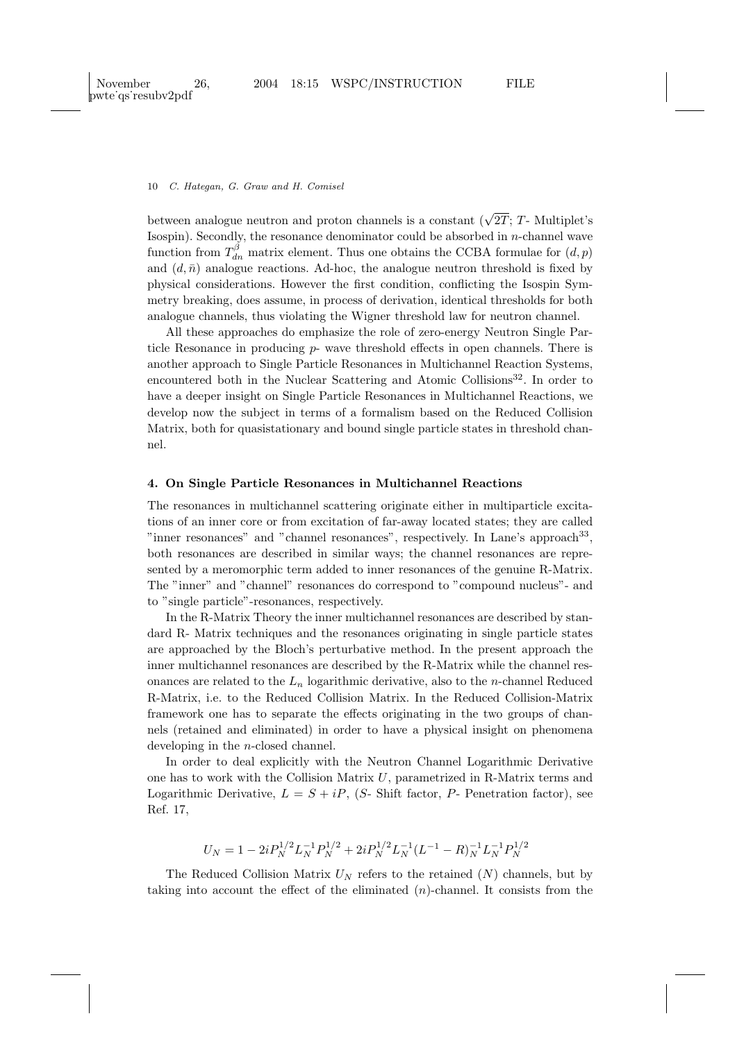between analogue neutron and proton channels is a constant  $(\sqrt{2T}; T$ - Multiplet's Isospin). Secondly, the resonance denominator could be absorbed in  $n$ -channel wave function from  $T_{dn}^{\beta}$  matrix element. Thus one obtains the CCBA formulae for  $(d, p)$ and  $(d, \bar{n})$  analogue reactions. Ad-hoc, the analogue neutron threshold is fixed by physical considerations. However the first condition, conflicting the Isospin Symmetry breaking, does assume, in process of derivation, identical thresholds for both analogue channels, thus violating the Wigner threshold law for neutron channel.

All these approaches do emphasize the role of zero-energy Neutron Single Particle Resonance in producing  $p$ - wave threshold effects in open channels. There is another approach to Single Particle Resonances in Multichannel Reaction Systems, encountered both in the Nuclear Scattering and Atomic Collisions<sup>32</sup>. In order to have a deeper insight on Single Particle Resonances in Multichannel Reactions, we develop now the subject in terms of a formalism based on the Reduced Collision Matrix, both for quasistationary and bound single particle states in threshold channel.

# 4. On Single Particle Resonances in Multichannel Reactions

The resonances in multichannel scattering originate either in multiparticle excitations of an inner core or from excitation of far-away located states; they are called "inner resonances" and "channel resonances", respectively. In Lane's approach<sup>33</sup>, both resonances are described in similar ways; the channel resonances are represented by a meromorphic term added to inner resonances of the genuine R-Matrix. The "inner" and "channel" resonances do correspond to "compound nucleus"- and to "single particle"-resonances, respectively.

In the R-Matrix Theory the inner multichannel resonances are described by standard R- Matrix techniques and the resonances originating in single particle states are approached by the Bloch's perturbative method. In the present approach the inner multichannel resonances are described by the R-Matrix while the channel resonances are related to the  $L_n$  logarithmic derivative, also to the *n*-channel Reduced R-Matrix, i.e. to the Reduced Collision Matrix. In the Reduced Collision-Matrix framework one has to separate the effects originating in the two groups of channels (retained and eliminated) in order to have a physical insight on phenomena developing in the n-closed channel.

In order to deal explicitly with the Neutron Channel Logarithmic Derivative one has to work with the Collision Matrix  $U$ , parametrized in R-Matrix terms and Logarithmic Derivative,  $L = S + iP$ , (S- Shift factor, P- Penetration factor), see Ref. 17,

$$
U_N = 1 - 2i P_N^{1/2} L_N^{-1} P_N^{1/2} + 2i P_N^{1/2} L_N^{-1} (L^{-1} - R)_N^{-1} L_N^{-1} P_N^{1/2} \label{eq:u_N}
$$

The Reduced Collision Matrix  $U_N$  refers to the retained  $(N)$  channels, but by taking into account the effect of the eliminated  $(n)$ -channel. It consists from the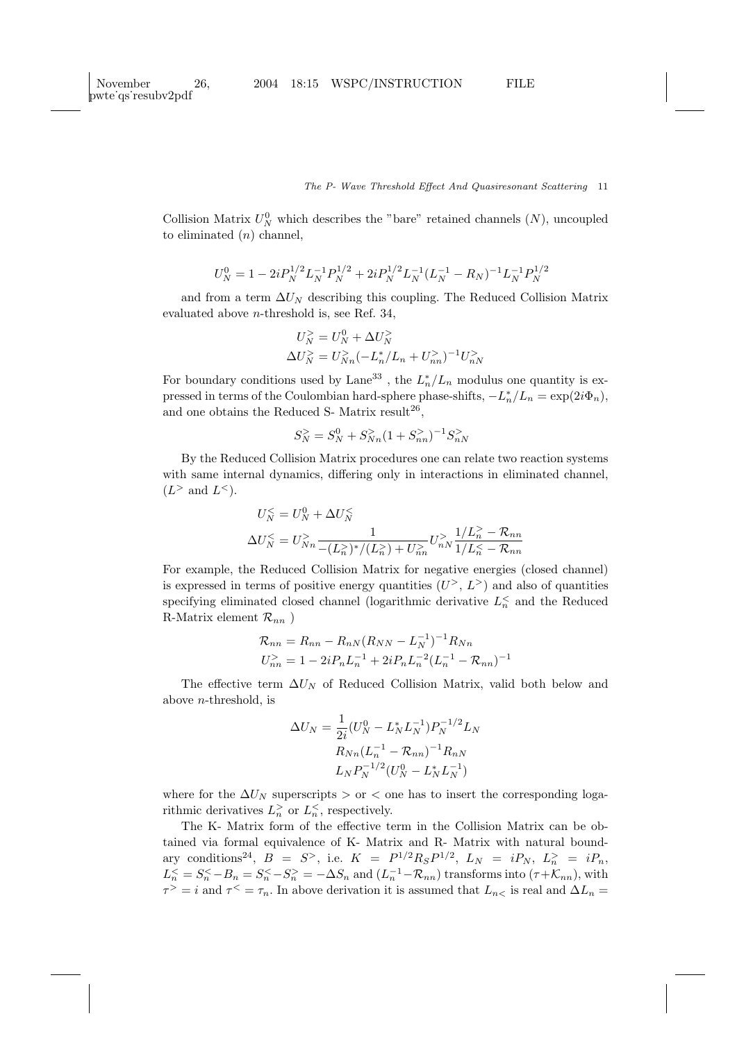Collision Matrix  $U_N^0$  which describes the "bare" retained channels  $(N)$ , uncoupled to eliminated  $(n)$  channel,

$$
U_N^0 = 1 - 2i P_N^{1/2} L_N^{-1} P_N^{1/2} + 2i P_N^{1/2} L_N^{-1} (L_N^{-1} - R_N)^{-1} L_N^{-1} P_N^{1/2}
$$

and from a term  $\Delta U_N$  describing this coupling. The Reduced Collision Matrix evaluated above n-threshold is, see Ref. 34,

$$
U_N^> = U_N^0 + \Delta U_N^>
$$
  

$$
\Delta U_N^> = U_{Nn}^< (-L_n^*/L_n + U_{nn}^>)^{-1} U_{nN}^>
$$

For boundary conditions used by Lane<sup>33</sup>, the  $L_n^*/L_n$  modulus one quantity is expressed in terms of the Coulombian hard-sphere phase-shifts,  $-L_n^*/L_n = \exp(2i\Phi_n)$ , and one obtains the Reduced S- Matrix result<sup>26</sup>,

$$
S_N^> = S_N^0 + S_{Nn}^>(1+S_{nn}^>)^{-1} S_{nN}^>
$$

By the Reduced Collision Matrix procedures one can relate two reaction systems with same internal dynamics, differing only in interactions in eliminated channel,  $(L^> \text{ and } L^<).$ 

$$
U_N^{\leq} = U_N^0 + \Delta U_N^{\leq}
$$
  

$$
\Delta U_N^{\leq} = U_{Nn}^{\geq} \frac{1}{-(L_n^{\geq})^*/(L_n^{\geq}) + U_{nn}^{\geq}} U_{nN}^{\geq} \frac{1/L_n^{\geq} - \mathcal{R}_{nn}}{1/L_n^{\leq} - \mathcal{R}_{nn}}
$$

For example, the Reduced Collision Matrix for negative energies (closed channel) is expressed in terms of positive energy quantities  $(U^>, L^>)$  and also of quantities specifying eliminated closed channel (logarithmic derivative  $L_n^{\lt}$  and the Reduced R-Matrix element  $\mathcal{R}_{nn}$ )

$$
\mathcal{R}_{nn} = R_{nn} - R_{nN}(R_{NN} - L_N^{-1})^{-1} R_{Nn}
$$
  

$$
U_{nn}^{>} = 1 - 2i P_n L_n^{-1} + 2i P_n L_n^{-2} (L_n^{-1} - R_{nn})^{-1}
$$

The effective term  $\Delta U_N$  of Reduced Collision Matrix, valid both below and above n-threshold, is

$$
\Delta U_N = \frac{1}{2i} (U_N^0 - L_N^* L_N^{-1}) P_N^{-1/2} L_N
$$

$$
R_{Nn} (L_n^{-1} - R_{nn})^{-1} R_{nN}
$$

$$
L_N P_N^{-1/2} (U_N^0 - L_N^* L_N^{-1})
$$

where for the  $\Delta U_N$  superscripts > or < one has to insert the corresponding logarithmic derivatives  $L_n^{\geq}$  or  $L_n^{\leq}$ , respectively.

The K- Matrix form of the effective term in the Collision Matrix can be obtained via formal equivalence of K- Matrix and R- Matrix with natural boundary conditions<sup>24</sup>,  $B = S^>$ , i.e.  $K = P^{1/2} R_S P^{1/2}$ ,  $L_N = i P_N$ ,  $L_n^> = i P_n$ ,  $L_n^{\leq} = S_n^{\leq} - B_n = S_n^{\leq} - S_n^{\geq} = -\Delta S_n$  and  $(L_n^{-1} - \mathcal{R}_{nn})$  transforms into  $(\tau + \mathcal{K}_{nn})$ , with  $\tau^> = i$  and  $\tau^< = \tau_n$ . In above derivation it is assumed that  $L_{n<}$  is real and  $\Delta L_n =$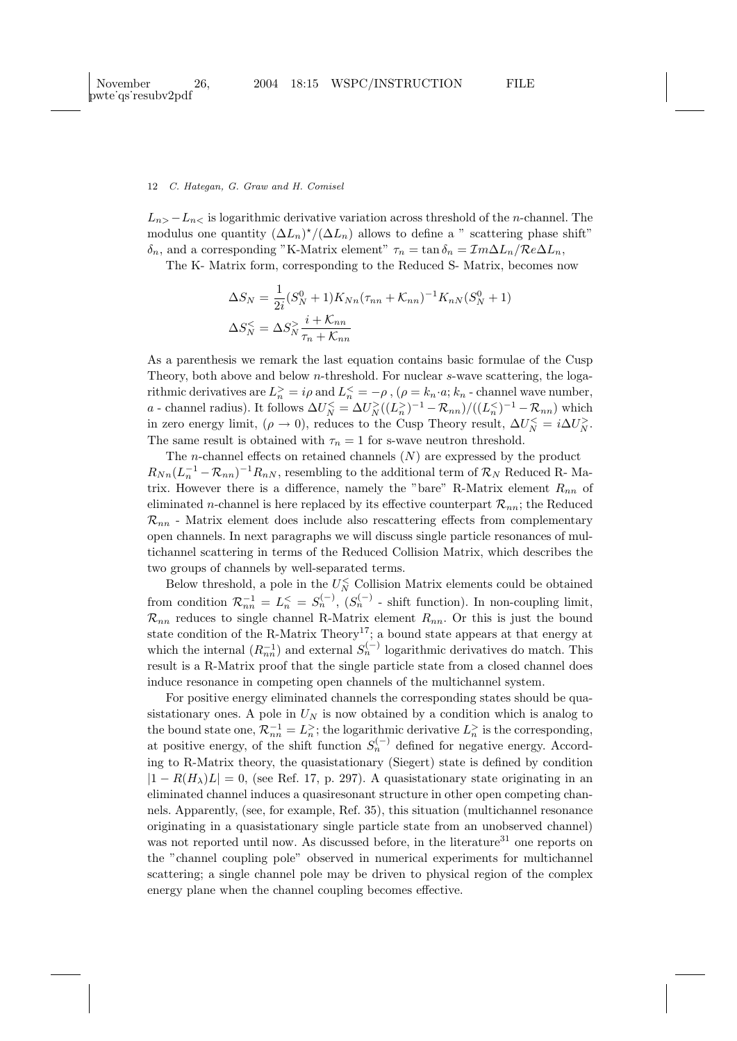$L_{n>}-L_{n<}$  is logarithmic derivative variation across threshold of the *n*-channel. The modulus one quantity  $(\Delta L_n)^*/(\Delta L_n)$  allows to define a " scattering phase shift"  $\delta_n$ , and a corresponding "K-Matrix element"  $\tau_n = \tan \delta_n = \mathcal{I}m\Delta L_n/\mathcal{R}e\Delta L_n$ ,

The K- Matrix form, corresponding to the Reduced S- Matrix, becomes now

$$
\Delta S_N = \frac{1}{2i} (S_N^0 + 1) K_{Nn} (\tau_{nn} + \mathcal{K}_{nn})^{-1} K_{nN} (S_N^0 + 1)
$$
  

$$
\Delta S_N^{\leq} = \Delta S_N^{\geq} \frac{i + \mathcal{K}_{nn}}{\tau_n + \mathcal{K}_{nn}}
$$

As a parenthesis we remark the last equation contains basic formulae of the Cusp Theory, both above and below *n*-threshold. For nuclear *s*-wave scattering, the logarithmic derivatives are  $L_n^{\geq} = i\rho$  and  $L_n^{\leq} = -\rho$ ,  $(\rho = k_n \cdot a; k_n$  - channel wave number, a - channel radius). It follows  $\Delta U_N^{\lt} = \Delta U_N^{\gt}((L_n^{\gt})^{-1} - \mathcal{R}_{nn})/((L_n^{\lt})^{-1} - \mathcal{R}_{nn})$  which in zero energy limit,  $(\rho \to 0)$ , reduces to the Cusp Theory result,  $\Delta U_N^{\leq} = i \Delta U_N^{\geq}$ . The same result is obtained with  $\tau_n = 1$  for s-wave neutron threshold.

The *n*-channel effects on retained channels  $(N)$  are expressed by the product  $R_{Nn}(L_n^{-1}-R_{nn})^{-1}R_{nN}$ , resembling to the additional term of  $\mathcal{R}_N$  Reduced R-Matrix. However there is a difference, namely the "bare" R-Matrix element  $R_{nn}$  of eliminated *n*-channel is here replaced by its effective counterpart  $\mathcal{R}_{nn}$ ; the Reduced  $\mathcal{R}_{nn}$  - Matrix element does include also rescattering effects from complementary open channels. In next paragraphs we will discuss single particle resonances of multichannel scattering in terms of the Reduced Collision Matrix, which describes the two groups of channels by well-separated terms.

Below threshold, a pole in the  $U_N^{\leq}$  Collision Matrix elements could be obtained from condition  $\mathcal{R}_{nn}^{-1} = L_n^{\lt} = S_n^{(-)}$ ,  $(S_n^{(-)}$  - shift function). In non-coupling limit,  $\mathcal{R}_{nn}$  reduces to single channel R-Matrix element  $R_{nn}$ . Or this is just the bound state condition of the R-Matrix Theory<sup>17</sup>; a bound state appears at that energy at which the internal  $(R_{nn}^{-1})$  and external  $S_n^{(-)}$  logarithmic derivatives do match. This result is a R-Matrix proof that the single particle state from a closed channel does induce resonance in competing open channels of the multichannel system.

For positive energy eliminated channels the corresponding states should be quasistationary ones. A pole in  $U_N$  is now obtained by a condition which is analog to the bound state one,  $\mathcal{R}_{nn}^{-1} = L_n^>$ ; the logarithmic derivative  $L_n^>$  is the corresponding, at positive energy, of the shift function  $S_n^{(-)}$  defined for negative energy. According to R-Matrix theory, the quasistationary (Siegert) state is defined by condition  $|1 - R(H_\lambda)L| = 0$ , (see Ref. 17, p. 297). A quasistationary state originating in an eliminated channel induces a quasiresonant structure in other open competing channels. Apparently, (see, for example, Ref. 35), this situation (multichannel resonance originating in a quasistationary single particle state from an unobserved channel) was not reported until now. As discussed before, in the literature<sup>31</sup> one reports on the "channel coupling pole" observed in numerical experiments for multichannel scattering; a single channel pole may be driven to physical region of the complex energy plane when the channel coupling becomes effective.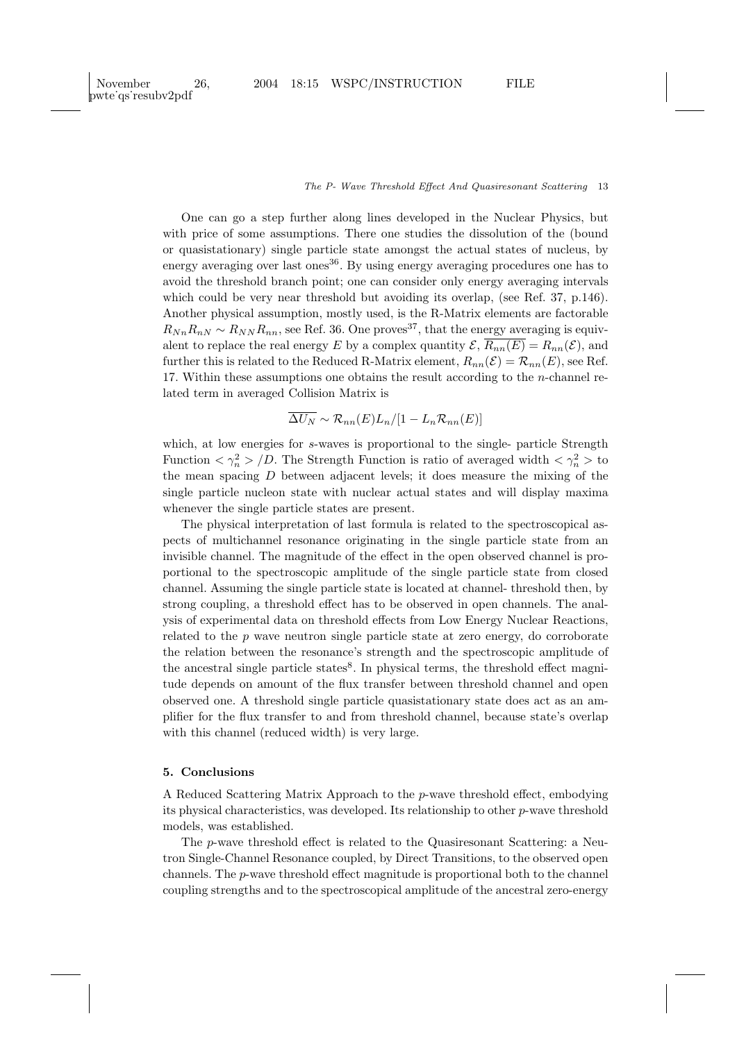One can go a step further along lines developed in the Nuclear Physics, but with price of some assumptions. There one studies the dissolution of the (bound or quasistationary) single particle state amongst the actual states of nucleus, by energy averaging over last ones<sup>36</sup>. By using energy averaging procedures one has to avoid the threshold branch point; one can consider only energy averaging intervals which could be very near threshold but avoiding its overlap, (see Ref. 37, p.146). Another physical assumption, mostly used, is the R-Matrix elements are factorable  $R_{Nn}R_{nN} \sim R_{NN}R_{nn}$ , see Ref. 36. One proves<sup>37</sup>, that the energy averaging is equivalent to replace the real energy E by a complex quantity  $\mathcal{E}, \overline{R_{nn}(E)} = R_{nn}(\mathcal{E}),$  and further this is related to the Reduced R-Matrix element,  $R_{nn}(\mathcal{E}) = \mathcal{R}_{nn}(E)$ , see Ref. 17. Within these assumptions one obtains the result according to the  $n$ -channel related term in averaged Collision Matrix is

$$
\overline{\Delta U_N} \sim \mathcal{R}_{nn}(E) L_n/[1 - L_n \mathcal{R}_{nn}(E)]
$$

which, at low energies for s-waves is proportional to the single- particle Strength Function  $\langle \gamma_n^2 \rangle/D$ . The Strength Function is ratio of averaged width  $\langle \gamma_n^2 \rangle$  to the mean spacing  $D$  between adjacent levels; it does measure the mixing of the single particle nucleon state with nuclear actual states and will display maxima whenever the single particle states are present.

The physical interpretation of last formula is related to the spectroscopical aspects of multichannel resonance originating in the single particle state from an invisible channel. The magnitude of the effect in the open observed channel is proportional to the spectroscopic amplitude of the single particle state from closed channel. Assuming the single particle state is located at channel- threshold then, by strong coupling, a threshold effect has to be observed in open channels. The analysis of experimental data on threshold effects from Low Energy Nuclear Reactions, related to the  $p$  wave neutron single particle state at zero energy, do corroborate the relation between the resonance's strength and the spectroscopic amplitude of the ancestral single particle states<sup>8</sup>. In physical terms, the threshold effect magnitude depends on amount of the flux transfer between threshold channel and open observed one. A threshold single particle quasistationary state does act as an amplifier for the flux transfer to and from threshold channel, because state's overlap with this channel (reduced width) is very large.

# 5. Conclusions

A Reduced Scattering Matrix Approach to the p-wave threshold effect, embodying its physical characteristics, was developed. Its relationship to other p-wave threshold models, was established.

The p-wave threshold effect is related to the Quasiresonant Scattering: a Neutron Single-Channel Resonance coupled, by Direct Transitions, to the observed open channels. The p-wave threshold effect magnitude is proportional both to the channel coupling strengths and to the spectroscopical amplitude of the ancestral zero-energy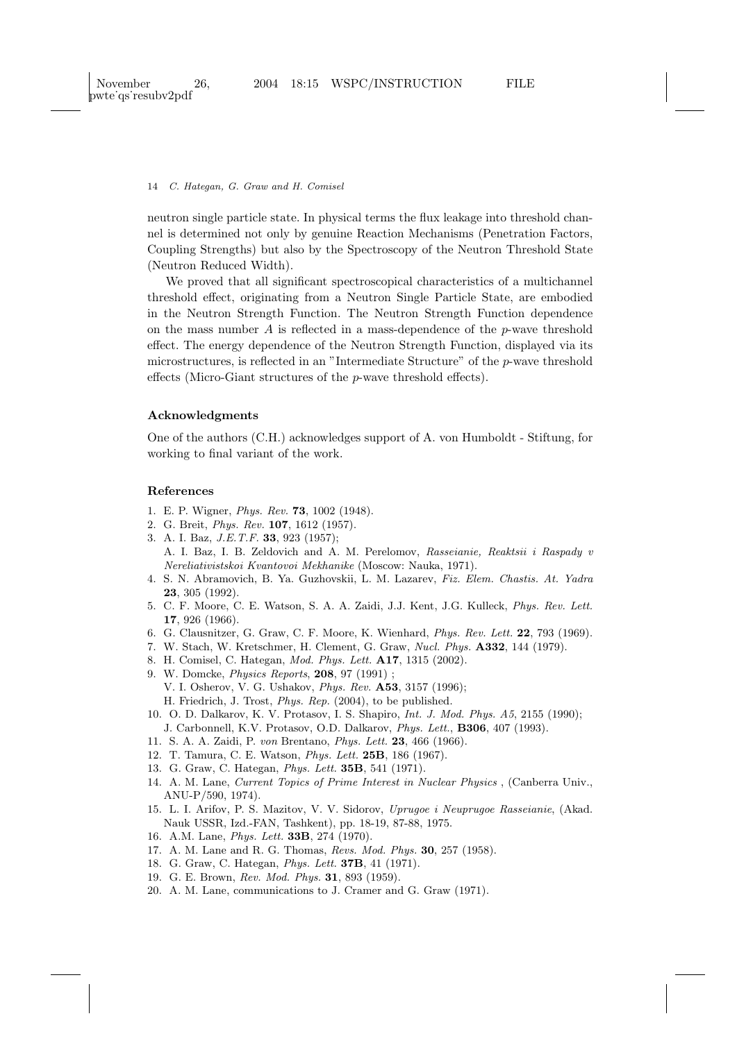neutron single particle state. In physical terms the flux leakage into threshold channel is determined not only by genuine Reaction Mechanisms (Penetration Factors, Coupling Strengths) but also by the Spectroscopy of the Neutron Threshold State (Neutron Reduced Width).

We proved that all significant spectroscopical characteristics of a multichannel threshold effect, originating from a Neutron Single Particle State, are embodied in the Neutron Strength Function. The Neutron Strength Function dependence on the mass number  $A$  is reflected in a mass-dependence of the  $p$ -wave threshold effect. The energy dependence of the Neutron Strength Function, displayed via its microstructures, is reflected in an "Intermediate Structure" of the p-wave threshold effects (Micro-Giant structures of the p-wave threshold effects).

#### Acknowledgments

One of the authors (C.H.) acknowledges support of A. von Humboldt - Stiftung, for working to final variant of the work.

#### References

- 1. E. P. Wigner, Phys. Rev. 73, 1002 (1948).
- 2. G. Breit, Phys. Rev. 107, 1612 (1957).
- 3. A. I. Baz, J.E.T.F. 33, 923 (1957);
- A. I. Baz, I. B. Zeldovich and A. M. Perelomov, Rasseianie, Reaktsii i Raspady v Nereliativistskoi Kvantovoi Mekhanike (Moscow: Nauka, 1971).
- 4. S. N. Abramovich, B. Ya. Guzhovskii, L. M. Lazarev, Fiz. Elem. Chastis. At. Yadra 23, 305 (1992).
- 5. C. F. Moore, C. E. Watson, S. A. A. Zaidi, J.J. Kent, J.G. Kulleck, Phys. Rev. Lett. 17, 926 (1966).
- 6. G. Clausnitzer, G. Graw, C. F. Moore, K. Wienhard, Phys. Rev. Lett. 22, 793 (1969).
- 7. W. Stach, W. Kretschmer, H. Clement, G. Graw, Nucl. Phys. A332, 144 (1979).
- 8. H. Comisel, C. Hategan, Mod. Phys. Lett. A17, 1315 (2002).
- 9. W. Domcke, Physics Reports, 208, 97 (1991) ; V. I. Osherov, V. G. Ushakov, Phys. Rev. A53, 3157 (1996);
	- H. Friedrich, J. Trost, Phys. Rep. (2004), to be published.
- 10. O. D. Dalkarov, K. V. Protasov, I. S. Shapiro, Int. J. Mod. Phys. A5, 2155 (1990); J. Carbonnell, K.V. Protasov, O.D. Dalkarov, Phys. Lett., B306, 407 (1993).
- 11. S. A. A. Zaidi, P. von Brentano, Phys. Lett. 23, 466 (1966).
- 12. T. Tamura, C. E. Watson, Phys. Lett. 25B, 186 (1967).
- 13. G. Graw, C. Hategan, Phys. Lett. 35B, 541 (1971).
- 14. A. M. Lane, Current Topics of Prime Interest in Nuclear Physics , (Canberra Univ., ANU-P/590, 1974).
- 15. L. I. Arifov, P. S. Mazitov, V. V. Sidorov, Uprugoe i Neuprugoe Rasseianie, (Akad. Nauk USSR, Izd.-FAN, Tashkent), pp. 18-19, 87-88, 1975.
- 16. A.M. Lane, Phys. Lett. 33B, 274 (1970).
- 17. A. M. Lane and R. G. Thomas, Revs. Mod. Phys. 30, 257 (1958).
- 18. G. Graw, C. Hategan, Phys. Lett. 37B, 41 (1971).
- 19. G. E. Brown, Rev. Mod. Phys. 31, 893 (1959).
- 20. A. M. Lane, communications to J. Cramer and G. Graw (1971).